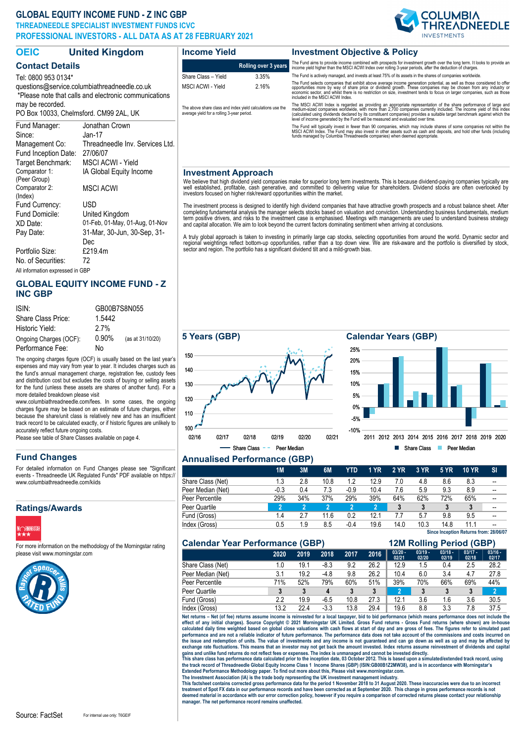# **GLOBAL EQUITY INCOME FUND - Z INC GBP**

Comparator 1: (Peer Group)

Comparator 2: (Index)

Portfolio Size:

Target Benchmark: MSCI ACWI - Yield

Fund Domicile: United Kingdom

IA Global Equity Income

MSCI ACWI

Fund Inception Date: 27/06/07

Fund Currency: USD

No. of Securities: 72 All information expressed in GBP

**THREADNEEDLE SPECIALIST INVESTMENT FUNDS ICVC PROFESSIONAL INVESTORS - ALL DATA AS AT 28 FEBRUARY 2021**



2011 2012 2013 2014 2015 2016 2017 2018 2019 2020

Share Class Peer Median

| <b>OEIC</b>                                                                                           | <b>United Kingdom</b>           | <b>Income Yield</b>                                                                                      |                      | <b>Investment Objective &amp; Policy</b>                                                                                                                                                                                                                                                                                                                                                                                                                |  |  |
|-------------------------------------------------------------------------------------------------------|---------------------------------|----------------------------------------------------------------------------------------------------------|----------------------|---------------------------------------------------------------------------------------------------------------------------------------------------------------------------------------------------------------------------------------------------------------------------------------------------------------------------------------------------------------------------------------------------------------------------------------------------------|--|--|
| <b>Contact Details</b>                                                                                |                                 |                                                                                                          | Rolling over 3 years | The Fund aims to provide income combined with prospects for investment growth over the long term. It looks to provide an<br>income yield higher than the MSCI ACWI Index over rolling 3-year periods, after the deduction of charges.                                                                                                                                                                                                                   |  |  |
| Tel: 0800 953 0134*                                                                                   |                                 | Share Class - Yield                                                                                      | 3.35%                | The Fund is actively managed, and invests at least 75% of its assets in the shares of companies worldwide.                                                                                                                                                                                                                                                                                                                                              |  |  |
| questions@service.columbiathreadneedle.co.uk<br>*Please note that calls and electronic communications |                                 | MSCI ACWI - Yield                                                                                        | 2.16%                | The Fund selects companies that exhibit above average income generation potential, as well as those considered to offer<br>opportunities more by way of share price or dividend growth. These companies may be chosen from any industry or<br>economic sector, and whilst there is no restriction on size, investment tends to focus on larger companies, such as those<br>included in the MSCI ACWI Index.                                             |  |  |
| may be recorded.<br>PO Box 10033, Chelmsford, CM99 2AL, UK                                            |                                 | The above share class and index vield calculations use the<br>average yield for a rolling 3-year period. |                      | The MSCI ACWI Index is regarded as providing an appropriate representation of the share performance of large and<br>medium-sized companies worldwide, with more than 2,700 companies currently included. The income yield of this index<br>(calculated using dividends declared by its constituent companies) provides a suitable target benchmark against which the<br>level of income generated by the Fund will be measured and evaluated over time. |  |  |
| Fund Manager:<br>Since:                                                                               | Jonathan Crown<br>Jan-17        |                                                                                                          |                      | The Fund will typically invest in fewer than 90 companies, which may include shares of some companies not within the<br>MSCI ACWI Index. The Fund may also invest in other assets such as cash and deposits, and hold other funds (including<br>funds managed by Columbia Threadneedle companies) when deemed appropriate.                                                                                                                              |  |  |
| Management Co:                                                                                        | Threadneedle Inv. Services Ltd. |                                                                                                          |                      |                                                                                                                                                                                                                                                                                                                                                                                                                                                         |  |  |

#### **Investment Approach**

We believe that high dividend yield companies make for superior long term investments. This is because dividend-paying companies typically are<br>well established, profitable, cash generative, and committed to delivering valu

The investment process is designed to identify high dividend companies that have attractive growth prospects and a robust balance sheet. After<br>completing fundamental analysis the manager selects stocks based on valuation a

A truly global approach is taken to investing in primarily large cap stocks, selecting opportunities from around the world. Dynamic sector and<br>regional weightings reflect bottom-up opportunities, rather than a top down vie

## **GLOBAL EQUITY INCOME FUND - Z INC GBP**

XD Date: 01-Feb, 01-May, 01-Aug, 01-Nov Pay Date: 31-Mar, 30-Jun, 30-Sep, 31- Dec<br>£219.4m

| ISIN:                  | GB00B7S8N055 |                  |  |  |  |  |
|------------------------|--------------|------------------|--|--|--|--|
| Share Class Price:     | 1.5442       |                  |  |  |  |  |
| Historic Yield:        | 2.7%         |                  |  |  |  |  |
| Ongoing Charges (OCF): | $0.90\%$     | (as at 31/10/20) |  |  |  |  |
| Performance Fee:       | No           |                  |  |  |  |  |

The ongoing charges figure (OCF) is usually based on the last year's expenses and may vary from year to year. It includes charges such as the fund's annual management charge, registration fee, custody fees and distribution cost but excludes the costs of buying or selling assets for the fund (unless these assets are shares of another fund). For a more detailed breakdown please visit

www.columbiathreadneedle.com/fees. In some cases, the ongoing charges figure may be based on an estimate of future charges, either because the share/unit class is relatively new and has an insufficient track record to be calculated exactly, or if historic figures are unlikely to accurately reflect future ongoing costs.

Please see table of Share Classes available on page 4.

## **Fund Changes**

For detailed information on Fund Changes please see "Significant events - Threadneedle UK Regulated Funds" PDF available on https:// www.columbiathreadneedle.com/kiids

## **Ratings/Awards**



For more information on the methodology of the Morningstar rating please visit www.morningstar.com





# **Annualised Performance (GBP)**

|                   | 1M     | 3M  | 6M   | YTD    | 1 YR | <b>2 YR</b> | 3 YR | <b>5 YR</b> | <b>10 YR</b>                           | SI |
|-------------------|--------|-----|------|--------|------|-------------|------|-------------|----------------------------------------|----|
| Share Class (Net) | 1.3    | 2.8 | 10.8 | 1.2    | 12.9 | 7.0         | 4.8  | 8.6         | 8.3                                    | -- |
| Peer Median (Net) | $-0.3$ | 0.4 | 7.3  | $-0.9$ | 10.4 | 7.6         | 5.9  | 9.3         | 8.9                                    | -- |
| Peer Percentile   | 29%    | 34% | 37%  | 29%    | 39%  | 64%         | 62%  | 72%         | 65%                                    | -- |
| Peer Quartile     |        | 2   |      |        | 2    | 3           |      | 3           | 3                                      | -- |
| Fund (Gross)      | 1.4    | 2.7 | 11.6 | 0.2    | 12.1 | 7.7         | 5.7  | 9.8         | 9.5                                    |    |
| Index (Gross)     | 0.5    | 1.9 | 8.5  | -0.4   | 19.6 | 14.0        | 10.3 | 14.8        | 11.1                                   |    |
|                   |        |     |      |        |      |             |      |             | Since Inception Returns from: 28/06/07 |    |

-10% -5% 0% 5% 10% 15% 20% 25%

| <b>Calendar Year Performance (GBP)</b> | <b>12M Rolling Period (GBP)</b> |      |        |      |      |                    |                    |                    |                    |                    |
|----------------------------------------|---------------------------------|------|--------|------|------|--------------------|--------------------|--------------------|--------------------|--------------------|
|                                        | 2020                            | 2019 | 2018   | 2017 | 2016 | $03/20 -$<br>02/21 | $03/19 -$<br>02/20 | $03/18 -$<br>02/19 | $03/17 -$<br>02/18 | $03/16 -$<br>02/17 |
| Share Class (Net)                      | 1.0                             | 19.1 | $-8.3$ | 9.2  | 26.2 | 12.9               | 1.5                | 0.4                | 2.5                | 28.2               |
| Peer Median (Net)                      | 3.1                             | 19.2 | $-4.8$ | 9.8  | 26.2 | 10.4               | 6.0                | 3.4                | 4.7                | 27.8               |
| Peer Percentile                        | 71%                             | 52%  | 79%    | 60%  | 51%  | 39%                | 70%                | 66%                | 69%                | 44%                |
| Peer Quartile                          |                                 |      |        | 3    | 3    | 2                  |                    | 3                  |                    |                    |
| Fund (Gross)                           | 2.2                             | 19.9 | $-6.5$ | 10.8 | 27.3 | 12.1               | 3.6                | 1.6                | 3.6                | 30.5               |
| Index (Gross)                          | 13.2                            | 22.4 | $-3.3$ | 13.8 | 29.4 | 19.6               | 8.8                | 3.3                | 7.8                | 37.5               |

Net returns – Net (of fee) returns assume income is reinvested for a local taxpayer, bid to bid performance (which means performance does not include the<br>effect of any initial charges). Source Copyright © 2021 Morningstar performance and are not a reliable indicator of future performance. The performance data does not take account of the commissions and costs incurred on<br>the issue and redemption of units. The value of investments and any in exchange rate fluctuations. This means that an investor may not get back the amount invested. Index returns assume reinvestment of dividends and capital<br>gains and unlike fund returns do not reflect fees or expenses. The in

the track record of Threadneedle Global Equity Income Class 1 Income Shares (GBP) (ISIN:GB00B1Z2MW38), and is in accordance with Morningstar's<br>Extended Performance Methodology paper. To find out more about this, Please vis

The Investment Association (IA) is the trade body representing the UK investment management industry.<br>This factsheet contains corrected gross performance data for the period 1 November 2018 to 31 August 2020. These inaccur **manager. The net performance record remains unaffected.**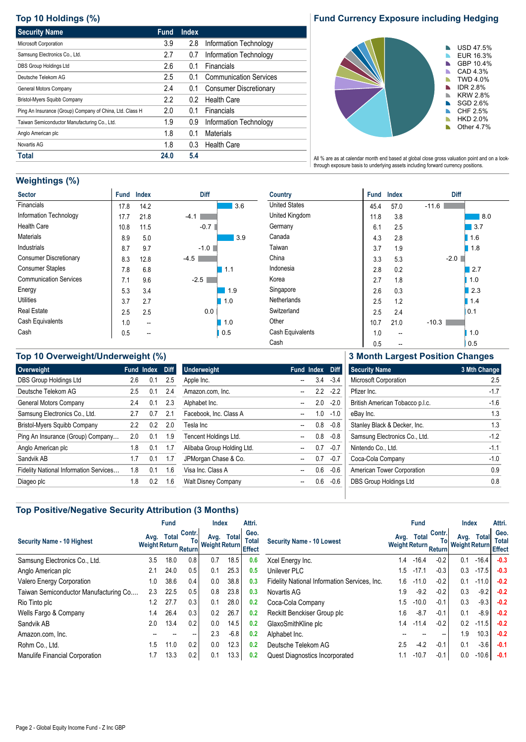# **Top 10 Holdings (%)**

| <b>Security Name</b>                                     | <b>Fund</b> | <b>Index</b> |                               |
|----------------------------------------------------------|-------------|--------------|-------------------------------|
| Microsoft Corporation                                    | 3.9         | 2.8          | Information Technology        |
| Samsung Electronics Co., Ltd.                            | 2.7         | 0.7          | Information Technology        |
| DBS Group Holdings Ltd                                   | 2.6         | 0.1          | Financials                    |
| Deutsche Telekom AG                                      | 2.5         | 0.1          | <b>Communication Services</b> |
| General Motors Company                                   | 2.4         | 0.1          | <b>Consumer Discretionary</b> |
| Bristol-Myers Squibb Company                             | 2.2         | 0.2          | <b>Health Care</b>            |
| Ping An Insurance (Group) Company of China, Ltd. Class H | 2.0         | 0.1          | Financials                    |
| Taiwan Semiconductor Manufacturing Co., Ltd.             | 1.9         | 0.9          | Information Technology        |
| Anglo American plc                                       | 1.8         | 0.1          | Materials                     |
| Novartis AG                                              | 1.8         | 0.3          | <b>Health Care</b>            |
| Total                                                    | 24.0        | 5.4          |                               |

# **Fund Currency Exposure including Hedging**



All % are as at calendar month end based at global close gross valuation point and on a lookthrough exposure basis to underlying assets including forward currency positions.

# **Weightings (%)**

| <b>Sector</b>                 | <b>Fund</b> | <b>Index</b> | Diff   |
|-------------------------------|-------------|--------------|--------|
| Financials                    | 17.8        | 14.2         | 3.6    |
| Information Technology        | 17.7        | 21.8         | $-4.1$ |
| <b>Health Care</b>            | 10.8        | 11.5         | $-0.7$ |
| <b>Materials</b>              | 8.9         | 5.0          | 3.9    |
| Industrials                   | 8.7         | 9.7          | $-1.0$ |
| <b>Consumer Discretionary</b> | 8.3         | 12.8         | -4.5   |
| <b>Consumer Staples</b>       | 7.8         | 6.8          | 1.1    |
| <b>Communication Services</b> | 7.1         | 9.6          | $-2.5$ |
| Energy                        | 5.3         | 3.4          | 1.9    |
| <b>Utilities</b>              | 3.7         | 2.7          | 1.0    |
| <b>Real Estate</b>            | 2.5         | 2.5          | 0.0    |
| Cash Equivalents              | 1.0         | --           | 1.0    |
| Cash                          | 0.5         |              | 0.5    |

| <b>Country</b>       | <b>Fund</b> | <b>Index</b> | Diff    |
|----------------------|-------------|--------------|---------|
| <b>United States</b> | 45.4        | 57.0         | $-11.6$ |
| United Kingdom       | 11.8        | 3.8          | 8.0     |
| Germany              | 6.1         | 2.5          | 3.7     |
| Canada               | 4.3         | 2.8          | 1.6     |
| Taiwan               | 3.7         | 1.9          | 1.8     |
| China                | 3.3         | 5.3          | $-2.0$  |
| Indonesia            | 2.8         | 0.2          | 2.7     |
| Korea                | 2.7         | 1.8          | 1.0     |
| Singapore            | 2.6         | 0.3          | 2.3     |
| Netherlands          | 2.5         | 1.2          | 1.4     |
| Switzerland          | 2.5         | 2.4          | 0.1     |
| Other                | 10.7        | 21.0         | $-10.3$ |
| Cash Equivalents     | 1.0         | --           | 1.0     |
| Cash                 | 0.5         |              | 0.5     |

# **Top 10 Overweight/Underweight (%) Overweight Fund Index Diff** DBS Group Holdings Ltd 2.6 0.1 2.5 Deutsche Telekom AG 2.5 0.1 2.4 General Motors Company 2.4 0.1 2.3 Samsung Electronics Co., Ltd. 2.7 0.7 2.1 Bristol-Myers Squibb Company 2.2 0.2 2.0

Ping An Insurance (Group) Company ... 2.0 0.1 1.9 Anglo American plc 1.8 0.1 1.7 Sandvik AB 1.7 0.1 1.7 Fidelity National Information Services... 1.8 0.1 1.6 Diageo plc 1.8 0.2 1.6

| <b>Underweight</b>         | <b>Fund Index</b> | Diff      |
|----------------------------|-------------------|-----------|
| Apple Inc.                 | 34                | $-34$     |
| Amazon.com, Inc.           |                   | $22 - 22$ |
| Alphabet Inc.              | 20                | -20       |
| Facebook, Inc. Class A     | 1 <sub>0</sub>    | $-1.0$    |
| Tesla Inc                  | 08                | $-0.8$    |
| Tencent Holdings Ltd.      | 0.8               | $-0.8$    |
| Alibaba Group Holding Ltd. | 07                | -0.7      |
| JPMorgan Chase & Co.       | 07                | -0.7      |
| Visa Inc. Class A          | 06                | $-06$     |
| <b>Walt Disney Company</b> | ი 6               | -በ 6      |

**3 Month Largest Position Changes**

| <b>Security Name</b>            | 3 Mth Change |
|---------------------------------|--------------|
| <b>Microsoft Corporation</b>    | 25           |
| Pfizer Inc.                     | $-1.7$       |
| British American Tobacco p.l.c. | $-1.6$       |
| eBay Inc.                       | 13           |
| Stanley Black & Decker, Inc.    | 13           |
| Samsung Electronics Co., Ltd.   | $-12$        |
| Nintendo Co., Ltd.              | $-11$        |
| Coca-Cola Company               | $-1.0$       |
| American Tower Corporation      | 09           |
| <b>DBS Group Holdings Ltd</b>   | ი გ          |
|                                 |              |

## **Top Positive/Negative Security Attribution (3 Months)**

|                                       |                              | <b>Fund</b>  |                   | Index                           |        | Attri. |                                              |                                 | <b>Fund</b>  |                   | Index                           |              | Attri. |
|---------------------------------------|------------------------------|--------------|-------------------|---------------------------------|--------|--------|----------------------------------------------|---------------------------------|--------------|-------------------|---------------------------------|--------------|--------|
| <b>Security Name - 10 Highest</b>     | Avg.<br>Weight Return Return | <b>Total</b> | Contr.            | Avg.<br>To Weight Return Effect | Total  | Geo.   | <b>Security Name - 10 Lowest</b>             | Avg.<br>Weight Return Return I" | <b>Total</b> | Contr.            | Avg.<br>To Weight Return Effect | <b>Total</b> | Geo.   |
| Samsung Electronics Co., Ltd.         | 3.5                          | 18.0         | 0.8               | 0.7                             | 18.5   | 0.6    | Xcel Energy Inc.                             | 1.4                             | $-16.4$      | $-0.2$            | 0.1                             | $-16.4$      | $-0.3$ |
| Anglo American plc                    | 2.1                          | 24.0         | 0.5               | 0.1                             | 25.3   | 0.5    | Unilever PLC                                 | 1.5                             | $-17.1$      | $-0.3$            | 0.3                             | $-17.5$      | $-0.3$ |
| Valero Energy Corporation             | 1.0                          | 38.6         | 0.4               | 0.0                             | 38.8   | 0.3    | Fidelity National Information Services, Inc. | 1.6                             | $-11.0$      | $-0.2$            | 0.1                             | $-11.0$      | $-0.2$ |
| Taiwan Semiconductor Manufacturing Co | 2.3                          | 22.5         | 0.5               | 0.8                             | 23.8   | 0.3    | Novartis AG                                  | 1.9                             | $-9.2$       | $-0.2$            | 0.3                             | $-9.2$       | $-0.2$ |
| Rio Tinto plc                         | 1.2                          | 27.7         | 0.3               | 0.1                             | 28.0   | 0.2    | Coca-Cola Company                            | 1.5                             | $-10.0$      | $-0.1$            | 0.3                             | $-9.3$       | $-0.2$ |
| Wells Fargo & Company                 | 1.4                          | 26.4         | 0.3               | 0.2                             | 26.7   | 0.2    | Reckitt Benckiser Group plc                  | 1.6                             | $-8.7$       | $-0.1$            | 0.1                             | $-8.9$       | $-0.2$ |
| Sandvik AB                            | 2.0                          | 13.4         | 0.2               | 0.0                             | 14.5   | 0.2    | GlaxoSmithKline plc                          | 1.4                             | $-11.4$      | $-0.2$            | 0.2                             | $-11.5$      | $-0.2$ |
| Amazon.com, Inc.                      |                              |              | $\hspace{0.05cm}$ | 2.3                             | $-6.8$ | 0.2    | Alphabet Inc.                                |                                 |              | $\hspace{0.05cm}$ | 1.9                             | 10.3         | $-0.2$ |
| Rohm Co., Ltd.                        | 1.5                          | 11.0         | 0.2               | 0.0                             | 12.3   | 0.2    | Deutsche Telekom AG                          | 2.5                             | $-4.2$       | $-0.1$            | 0.1                             | $-3.6$       | $-0.1$ |
| Manulife Financial Corporation        | 1.7                          | 13.3         | 0.2               | 0.1                             | 13.3   | 0.2    | Quest Diagnostics Incorporated               | 1.1                             | $-10.7$      | $-0.1$            | 0.0                             | $-10.6$      | $-0.1$ |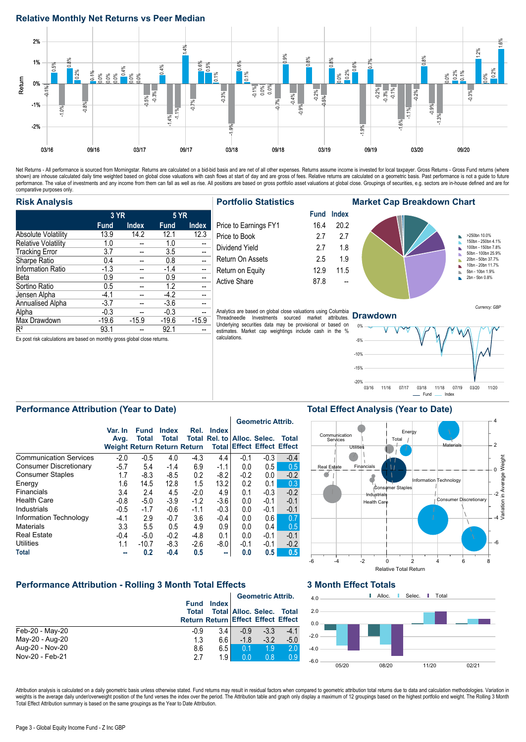## **Relative Monthly Net Returns vs Peer Median**



Net Returns - All performance is sourced from Morningstar. Returns are calculated on a bid-bid basis and are net of all other expenses. Returns assume income is invested for local taxpayer. Gross Returns - Gross Fund retur performance. The value of investments and any income from them can fall as well as rise. All positions are based on gross portfolio asset valuations at global close. Groupings of securities, e.g. sectors are in-house defin comparative purposes only.

### **Risk Analysis**

|                            | 3 YR        |              | <b>5 YR</b> |              |
|----------------------------|-------------|--------------|-------------|--------------|
|                            | <b>Fund</b> | <b>Index</b> | <b>Fund</b> | <b>Index</b> |
| <b>Absolute Volatility</b> | 13.9        | 14.2         | 12.1        | 12.3         |
| <b>Relative Volatility</b> | 1.0         |              | 1.0         |              |
| <b>Tracking Error</b>      | 3.7         |              | 3.5         |              |
| Sharpe Ratio               | 0.4         |              | 0.8         |              |
| <b>Information Ratio</b>   | $-1.3$      |              | $-1.4$      |              |
| Beta                       | 0.9         |              | 0.9         |              |
| Sortino Ratio              | 0.5         |              | 1.2         |              |
| Jensen Alpha               | $-4.1$      |              | $-4.2$      |              |
| Annualised Alpha           | $-3.7$      |              | $-3.6$      |              |
| Alpha                      | $-0.3$      |              | $-0.3$      |              |
| Max Drawdown               | $-19.6$     | $-15.9$      | $-19.6$     | $-15.9$      |
| $R^2$                      | 93.1        |              | 92.1        |              |

**Portfolio Statistics**

| Price to Earnings FY1 | 16.4 | 20.2 |
|-----------------------|------|------|
| Price to Book         | 2.7  | 27   |
| Dividend Yield        | 2.7  | 1.8  |
| Return On Assets      | 2.5  | 1.9  |
| Return on Equity      | 12.9 | 11.5 |
| Active Share          | 87.8 |      |
|                       |      |      |

Analytics are based on global close valuations using Columbia Threadneedle Investments sourced market attributes. Underlying securities data may be provisional or based on estimates. Market cap weightings include cash in the % calculations.



### **Drawdown**



Currency: GBP

## **Performance Attribution (Year to Date)**

Ex post risk calculations are based on monthly gross global close returns.

|                               |                                                       |                             |                              |        |                                             |        | <b>Geometric Attrib.</b>          |        |
|-------------------------------|-------------------------------------------------------|-----------------------------|------------------------------|--------|---------------------------------------------|--------|-----------------------------------|--------|
|                               | Var. In<br>Avg.<br><b>Weight Return Return Return</b> | <b>Fund</b><br><b>Total</b> | <b>Index</b><br><b>Total</b> | Rel.   | <b>Index</b><br>Total Rel. to Alloc. Selec. |        | <b>Total Effect Effect Effect</b> | Total  |
| <b>Communication Services</b> | $-2.0$                                                | $-0.5$                      | 4.0                          | $-4.3$ | 4.4                                         | $-0.1$ | $-0.3$                            | $-0.4$ |
| Consumer Discretionary        | $-5.7$                                                | 5.4                         | $-1.4$                       | 6.9    | $-1.1$                                      | 0.0    | 0.5                               | 0.5    |
| <b>Consumer Staples</b>       | 1.7                                                   | $-8.3$                      | $-8.5$                       | 0.2    | -8.2                                        | $-0.2$ | 0.0                               | $-0.2$ |
| Energy                        | 1.6                                                   | 14.5                        | 12.8                         | 1.5    | 13.2                                        | 0.2    | 0.1                               | 0.3    |
| Financials                    | 3.4                                                   | 2.4                         | 4.5                          | $-2.0$ | 4.9                                         | 0.1    | $-0.3$                            | $-0.2$ |
| <b>Health Care</b>            | $-0.8$                                                | $-5.0$                      | $-3.9$                       | $-1.2$ | $-3.6$                                      | 0.0    | $-0.1$                            | $-0.1$ |
| Industrials                   | $-0.5$                                                | $-1.7$                      | $-0.6$                       | $-1.1$ | $-0.3$                                      | 0.0    | $-0.1$                            | $-0.1$ |
| Information Technology        | $-4.1$                                                | 2.9                         | $-0.7$                       | 3.6    | -0.4                                        | 0.0    | 0.6                               | 0.7    |
| <b>Materials</b>              | 3.3                                                   | 5.5                         | 0.5                          | 4.9    | 0.9                                         | 0.0    | 0.4                               | 0.5    |
| <b>Real Estate</b>            | $-0.4$                                                | $-5.0$                      | $-0.2$                       | $-4.8$ | 0.1                                         | 0.0    | $-0.1$                            | $-0.1$ |
| <b>Utilities</b>              | 1.1                                                   | $-10.7$                     | -8.3                         | $-2.6$ | -8.0                                        | $-0.1$ | $-0.1$                            | $-0.2$ |
| Total                         | ᅩ                                                     | 0.2                         | $-0.4$                       | 0.5    | m.                                          | 0.0    | 0.5                               | 0.5    |

## **Performance Attribution - Rolling 3 Month Total Effects**

|                 |                                           |              |                | <b>Geometric Attrib.</b>         |        |
|-----------------|-------------------------------------------|--------------|----------------|----------------------------------|--------|
|                 | <b>Fund</b>                               | <b>Index</b> |                |                                  |        |
|                 | Total                                     |              |                | <b>Total Alloc. Selec. Total</b> |        |
|                 | <b>Return Return Effect Effect Effect</b> |              |                |                                  |        |
| Feb-20 - May-20 | $-0.9$                                    | 3.4          | $-0.9$         | $-3.3$                           | $-4.1$ |
| May-20 - Aug-20 | 1.3                                       | 6.6          | $-1.8$         | $-3.2$                           | $-5.0$ |
| Aug-20 - Nov-20 | 8.6                                       | 6.5          | 0.1            | 1.9                              | 2.0    |
| Nov-20 - Feb-21 | 27                                        | 1.9          | 0 <sub>0</sub> | 0.8                              | 0.9    |

#### **3 Month Effect Totals**



Attribution analysis is calculated on a daily geometric basis unless otherwise stated. Fund returns may result in residual factors when compared to geometric attribution total returns due to data and calculation methodolog weights is the average daily under/overweight position of the fund verses the index over the period. The Attribution table and graph only display a maximum of 12 groupings based on the highest portfolio end weight. The Rol Total Effect Attribution summary is based on the same groupings as the Year to Date Attribution.

# **Total Effect Analysis (Year to Date)**

Page 3 - Global Equity Income Fund - Z Inc GBP